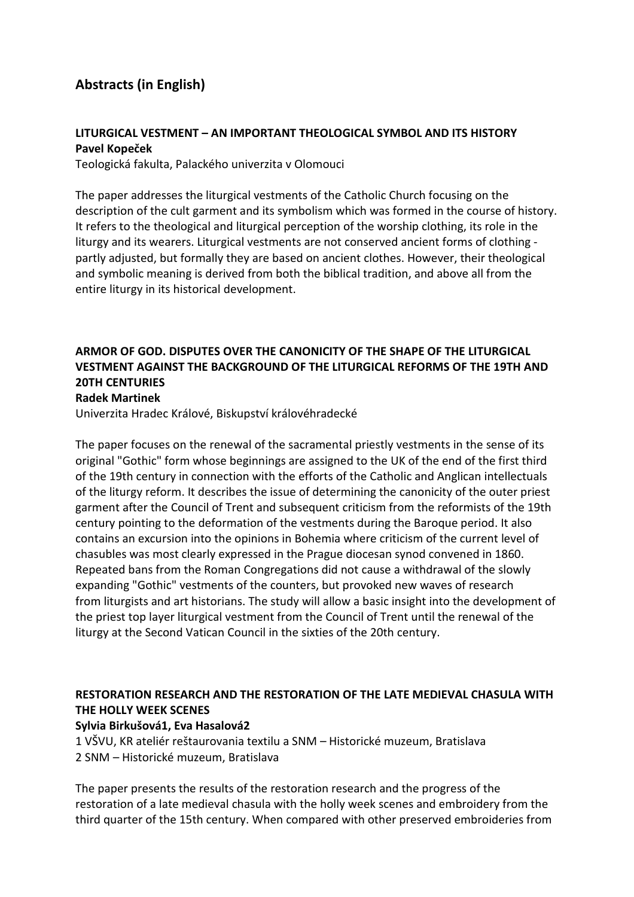# Abstracts (in English)

## LITURGICAL VESTMENT – AN IMPORTANT THEOLOGICAL SYMBOL AND ITS HISTORY Pavel Kopeček

Teologická fakulta, Palackého univerzita v Olomouci

The paper addresses the liturgical vestments of the Catholic Church focusing on the description of the cult garment and its symbolism which was formed in the course of history. It refers to the theological and liturgical perception of the worship clothing, its role in the liturgy and its wearers. Liturgical vestments are not conserved ancient forms of clothing partly adjusted, but formally they are based on ancient clothes. However, their theological and symbolic meaning is derived from both the biblical tradition, and above all from the entire liturgy in its historical development.

# ARMOR OF GOD. DISPUTES OVER THE CANONICITY OF THE SHAPE OF THE LITURGICAL VESTMENT AGAINST THE BACKGROUND OF THE LITURGICAL REFORMS OF THE 19TH AND 20TH CENTURIES

#### Radek Martinek

Univerzita Hradec Králové, Biskupství královéhradecké

The paper focuses on the renewal of the sacramental priestly vestments in the sense of its original "Gothic" form whose beginnings are assigned to the UK of the end of the first third of the 19th century in connection with the efforts of the Catholic and Anglican intellectuals of the liturgy reform. It describes the issue of determining the canonicity of the outer priest garment after the Council of Trent and subsequent criticism from the reformists of the 19th century pointing to the deformation of the vestments during the Baroque period. It also contains an excursion into the opinions in Bohemia where criticism of the current level of chasubles was most clearly expressed in the Prague diocesan synod convened in 1860. Repeated bans from the Roman Congregations did not cause a withdrawal of the slowly expanding "Gothic" vestments of the counters, but provoked new waves of research from liturgists and art historians. The study will allow a basic insight into the development of the priest top layer liturgical vestment from the Council of Trent until the renewal of the liturgy at the Second Vatican Council in the sixties of the 20th century.

# RESTORATION RESEARCH AND THE RESTORATION OF THE LATE MEDIEVAL CHASULA WITH THE HOLLY WEEK SCENES

#### Sylvia Birkušová1, Eva Hasalová2

1 VŠVU, KR ateliér reštaurovania textilu a SNM – Historické muzeum, Bratislava 2 SNM – Historické muzeum, Bratislava

The paper presents the results of the restoration research and the progress of the restoration of a late medieval chasula with the holly week scenes and embroidery from the third quarter of the 15th century. When compared with other preserved embroideries from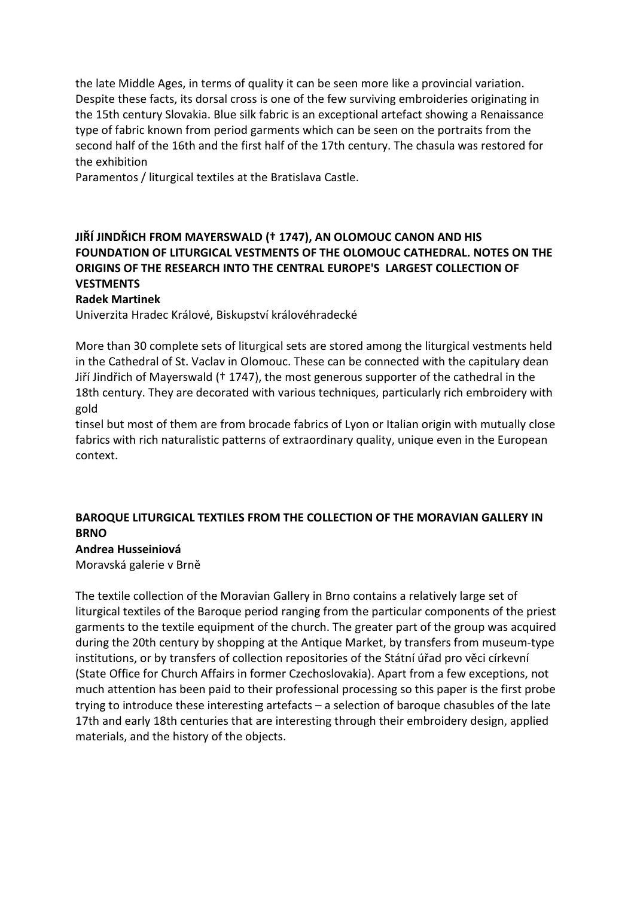the late Middle Ages, in terms of quality it can be seen more like a provincial variation. Despite these facts, its dorsal cross is one of the few surviving embroideries originating in the 15th century Slovakia. Blue silk fabric is an exceptional artefact showing a Renaissance type of fabric known from period garments which can be seen on the portraits from the second half of the 16th and the first half of the 17th century. The chasula was restored for the exhibition

Paramentos / liturgical textiles at the Bratislava Castle.

# JIŘÍ JINDŘICH FROM MAYERSWALD († 1747), AN OLOMOUC CANON AND HIS FOUNDATION OF LITURGICAL VESTMENTS OF THE OLOMOUC CATHEDRAL. NOTES ON THE ORIGINS OF THE RESEARCH INTO THE CENTRAL EUROPE'S LARGEST COLLECTION OF **VESTMENTS**

#### Radek Martinek

Univerzita Hradec Králové, Biskupství královéhradecké

More than 30 complete sets of liturgical sets are stored among the liturgical vestments held in the Cathedral of St. Vaclav in Olomouc. These can be connected with the capitulary dean Jiří Jindřich of Mayerswald († 1747), the most generous supporter of the cathedral in the 18th century. They are decorated with various techniques, particularly rich embroidery with gold

tinsel but most of them are from brocade fabrics of Lyon or Italian origin with mutually close fabrics with rich naturalistic patterns of extraordinary quality, unique even in the European context.

## BAROQUE LITURGICAL TEXTILES FROM THE COLLECTION OF THE MORAVIAN GALLERY IN **BRNO**

## Andrea Husseiniová

Moravská galerie v Brně

The textile collection of the Moravian Gallery in Brno contains a relatively large set of liturgical textiles of the Baroque period ranging from the particular components of the priest garments to the textile equipment of the church. The greater part of the group was acquired during the 20th century by shopping at the Antique Market, by transfers from museum-type institutions, or by transfers of collection repositories of the Státní úřad pro věci církevní (State Office for Church Affairs in former Czechoslovakia). Apart from a few exceptions, not much attention has been paid to their professional processing so this paper is the first probe trying to introduce these interesting artefacts – a selection of baroque chasubles of the late 17th and early 18th centuries that are interesting through their embroidery design, applied materials, and the history of the objects.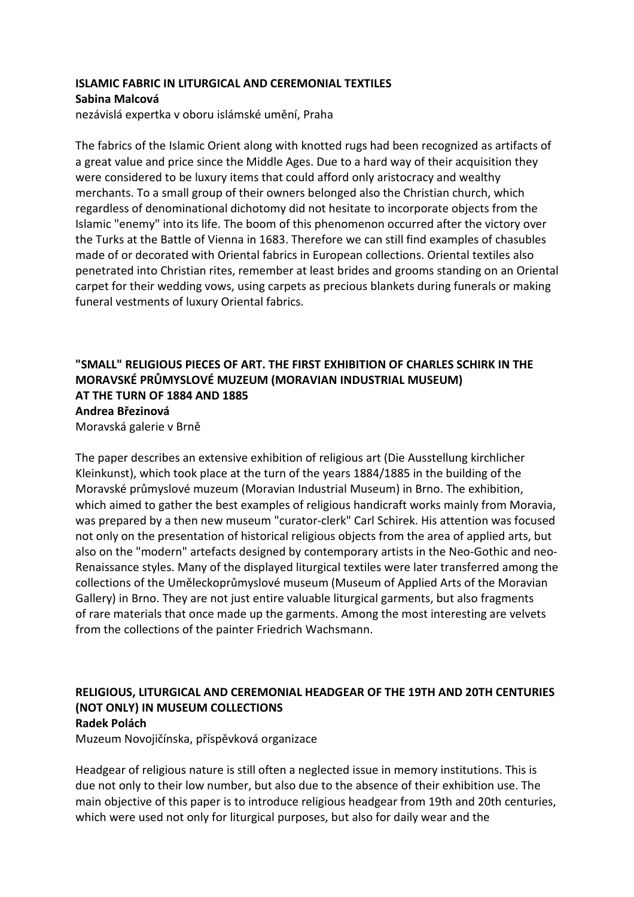## ISLAMIC FABRIC IN LITURGICAL AND CEREMONIAL TEXTILES Sabina Malcová

nezávislá expertka v oboru islámské umění, Praha

The fabrics of the Islamic Orient along with knotted rugs had been recognized as artifacts of a great value and price since the Middle Ages. Due to a hard way of their acquisition they were considered to be luxury items that could afford only aristocracy and wealthy merchants. To a small group of their owners belonged also the Christian church, which regardless of denominational dichotomy did not hesitate to incorporate objects from the Islamic "enemy" into its life. The boom of this phenomenon occurred after the victory over the Turks at the Battle of Vienna in 1683. Therefore we can still find examples of chasubles made of or decorated with Oriental fabrics in European collections. Oriental textiles also penetrated into Christian rites, remember at least brides and grooms standing on an Oriental carpet for their wedding vows, using carpets as precious blankets during funerals or making funeral vestments of luxury Oriental fabrics.

# "SMALL" RELIGIOUS PIECES OF ART. THE FIRST EXHIBITION OF CHARLES SCHIRK IN THE MORAVSKÉ PRŮMYSLOVÉ MUZEUM (MORAVIAN INDUSTRIAL MUSEUM) AT THE TURN OF 1884 AND 1885 Andrea Březinová

Moravská galerie v Brně

The paper describes an extensive exhibition of religious art (Die Ausstellung kirchlicher Kleinkunst), which took place at the turn of the years 1884/1885 in the building of the Moravské průmyslové muzeum (Moravian Industrial Museum) in Brno. The exhibition, which aimed to gather the best examples of religious handicraft works mainly from Moravia, was prepared by a then new museum "curator-clerk" Carl Schirek. His attention was focused not only on the presentation of historical religious objects from the area of applied arts, but also on the "modern" artefacts designed by contemporary artists in the Neo-Gothic and neo-Renaissance styles. Many of the displayed liturgical textiles were later transferred among the collections of the Uměleckoprůmyslové museum (Museum of Applied Arts of the Moravian Gallery) in Brno. They are not just entire valuable liturgical garments, but also fragments of rare materials that once made up the garments. Among the most interesting are velvets from the collections of the painter Friedrich Wachsmann.

#### RELIGIOUS, LITURGICAL AND CEREMONIAL HEADGEAR OF THE 19TH AND 20TH CENTURIES (NOT ONLY) IN MUSEUM COLLECTIONS Radek Polách

Muzeum Novojičínska, příspěvková organizace

Headgear of religious nature is still often a neglected issue in memory institutions. This is due not only to their low number, but also due to the absence of their exhibition use. The main objective of this paper is to introduce religious headgear from 19th and 20th centuries, which were used not only for liturgical purposes, but also for daily wear and the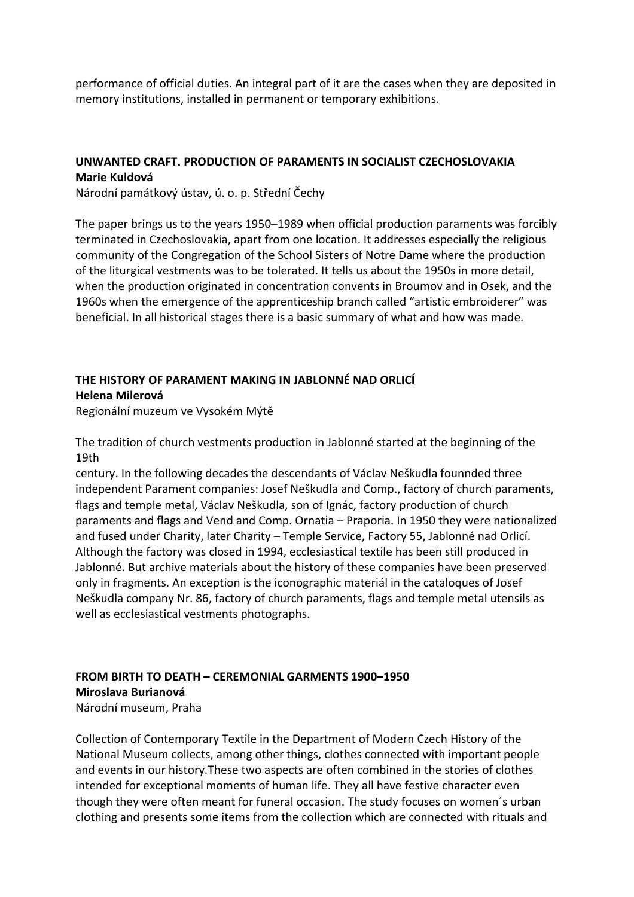performance of official duties. An integral part of it are the cases when they are deposited in memory institutions, installed in permanent or temporary exhibitions.

## UNWANTED CRAFT. PRODUCTION OF PARAMENTS IN SOCIALIST CZECHOSLOVAKIA Marie Kuldová

Národní památkový ústav, ú. o. p. Střední Čechy

The paper brings us to the years 1950–1989 when official production paraments was forcibly terminated in Czechoslovakia, apart from one location. It addresses especially the religious community of the Congregation of the School Sisters of Notre Dame where the production of the liturgical vestments was to be tolerated. It tells us about the 1950s in more detail, when the production originated in concentration convents in Broumov and in Osek, and the 1960s when the emergence of the apprenticeship branch called "artistic embroiderer" was beneficial. In all historical stages there is a basic summary of what and how was made.

# THE HISTORY OF PARAMENT MAKING IN JABLONNÉ NAD ORLICÍ Helena Milerová

Regionální muzeum ve Vysokém Mýtě

The tradition of church vestments production in Jablonné started at the beginning of the 19th

century. In the following decades the descendants of Václav Neškudla founnded three independent Parament companies: Josef Neškudla and Comp., factory of church paraments, flags and temple metal, Václav Neškudla, son of Ignác, factory production of church paraments and flags and Vend and Comp. Ornatia – Praporia. In 1950 they were nationalized and fused under Charity, later Charity – Temple Service, Factory 55, Jablonné nad Orlicí. Although the factory was closed in 1994, ecclesiastical textile has been still produced in Jablonné. But archive materials about the history of these companies have been preserved only in fragments. An exception is the iconographic materiál in the cataloques of Josef Neškudla company Nr. 86, factory of church paraments, flags and temple metal utensils as well as ecclesiastical vestments photographs.

#### FROM BIRTH TO DEATH – CEREMONIAL GARMENTS 1900–1950 Miroslava Burianová Národní museum, Praha

Collection of Contemporary Textile in the Department of Modern Czech History of the National Museum collects, among other things, clothes connected with important people and events in our history.These two aspects are often combined in the stories of clothes intended for exceptional moments of human life. They all have festive character even though they were often meant for funeral occasion. The study focuses on women´s urban clothing and presents some items from the collection which are connected with rituals and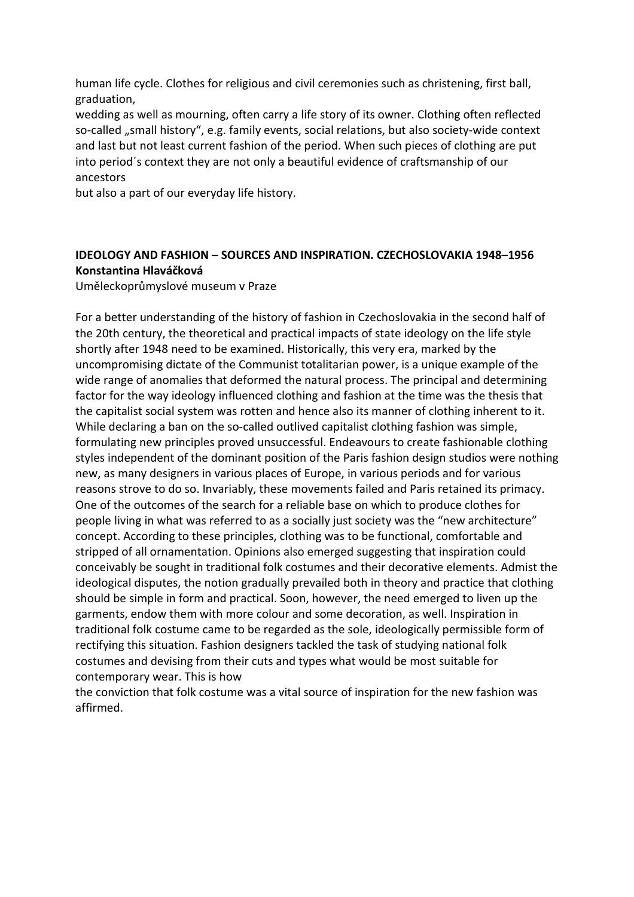human life cycle. Clothes for religious and civil ceremonies such as christening, first ball, graduation,

wedding as well as mourning, often carry a life story of its owner. Clothing often reflected so-called "small history", e.g. family events, social relations, but also society-wide context and last but not least current fashion of the period. When such pieces of clothing are put into period´s context they are not only a beautiful evidence of craftsmanship of our ancestors

but also a part of our everyday life history.

## IDEOLOGY AND FASHION – SOURCES AND INSPIRATION. CZECHOSLOVAKIA 1948–1956 Konstantina Hlaváčková

Uměleckoprůmyslové museum v Praze

For a better understanding of the history of fashion in Czechoslovakia in the second half of the 20th century, the theoretical and practical impacts of state ideology on the life style shortly after 1948 need to be examined. Historically, this very era, marked by the uncompromising dictate of the Communist totalitarian power, is a unique example of the wide range of anomalies that deformed the natural process. The principal and determining factor for the way ideology influenced clothing and fashion at the time was the thesis that the capitalist social system was rotten and hence also its manner of clothing inherent to it. While declaring a ban on the so-called outlived capitalist clothing fashion was simple, formulating new principles proved unsuccessful. Endeavours to create fashionable clothing styles independent of the dominant position of the Paris fashion design studios were nothing new, as many designers in various places of Europe, in various periods and for various reasons strove to do so. Invariably, these movements failed and Paris retained its primacy. One of the outcomes of the search for a reliable base on which to produce clothes for people living in what was referred to as a socially just society was the "new architecture" concept. According to these principles, clothing was to be functional, comfortable and stripped of all ornamentation. Opinions also emerged suggesting that inspiration could conceivably be sought in traditional folk costumes and their decorative elements. Admist the ideological disputes, the notion gradually prevailed both in theory and practice that clothing should be simple in form and practical. Soon, however, the need emerged to liven up the garments, endow them with more colour and some decoration, as well. Inspiration in traditional folk costume came to be regarded as the sole, ideologically permissible form of rectifying this situation. Fashion designers tackled the task of studying national folk costumes and devising from their cuts and types what would be most suitable for contemporary wear. This is how

the conviction that folk costume was a vital source of inspiration for the new fashion was affirmed.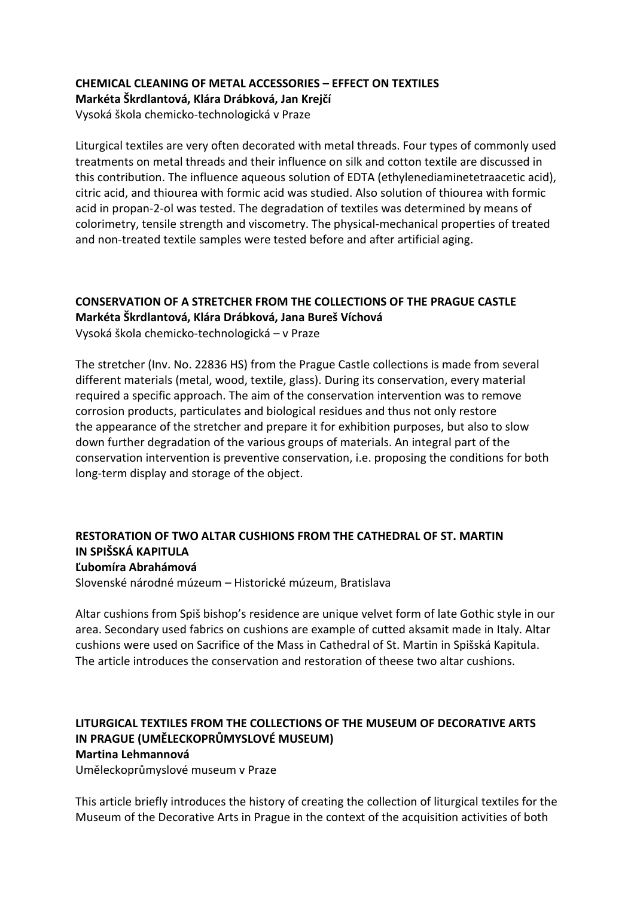# CHEMICAL CLEANING OF METAL ACCESSORIES – EFFECT ON TEXTILES Markéta Škrdlantová, Klára Drábková, Jan Krejčí

Vysoká škola chemicko-technologická v Praze

Liturgical textiles are very often decorated with metal threads. Four types of commonly used treatments on metal threads and their influence on silk and cotton textile are discussed in this contribution. The influence aqueous solution of EDTA (ethylenediaminetetraacetic acid), citric acid, and thiourea with formic acid was studied. Also solution of thiourea with formic acid in propan-2-ol was tested. The degradation of textiles was determined by means of colorimetry, tensile strength and viscometry. The physical-mechanical properties of treated and non-treated textile samples were tested before and after artificial aging.

## CONSERVATION OF A STRETCHER FROM THE COLLECTIONS OF THE PRAGUE CASTLE Markéta Škrdlantová, Klára Drábková, Jana Bureš Víchová Vysoká škola chemicko-technologická – v Praze

The stretcher (Inv. No. 22836 HS) from the Prague Castle collections is made from several different materials (metal, wood, textile, glass). During its conservation, every material required a specific approach. The aim of the conservation intervention was to remove corrosion products, particulates and biological residues and thus not only restore the appearance of the stretcher and prepare it for exhibition purposes, but also to slow down further degradation of the various groups of materials. An integral part of the conservation intervention is preventive conservation, i.e. proposing the conditions for both long-term display and storage of the object.

#### RESTORATION OF TWO ALTAR CUSHIONS FROM THE CATHEDRAL OF ST. MARTIN IN SPIŠSKÁ KAPITULA Ľubomíra Abrahámová

Slovenské národné múzeum – Historické múzeum, Bratislava

Altar cushions from Spiš bishop's residence are unique velvet form of late Gothic style in our area. Secondary used fabrics on cushions are example of cutted aksamit made in Italy. Altar cushions were used on Sacrifice of the Mass in Cathedral of St. Martin in Spišská Kapitula. The article introduces the conservation and restoration of theese two altar cushions.

#### LITURGICAL TEXTILES FROM THE COLLECTIONS OF THE MUSEUM OF DECORATIVE ARTS IN PRAGUE (UMĚLECKOPRŮMYSLOVÉ MUSEUM) Martina Lehmannová

Uměleckoprůmyslové museum v Praze

This article briefly introduces the history of creating the collection of liturgical textiles for the Museum of the Decorative Arts in Prague in the context of the acquisition activities of both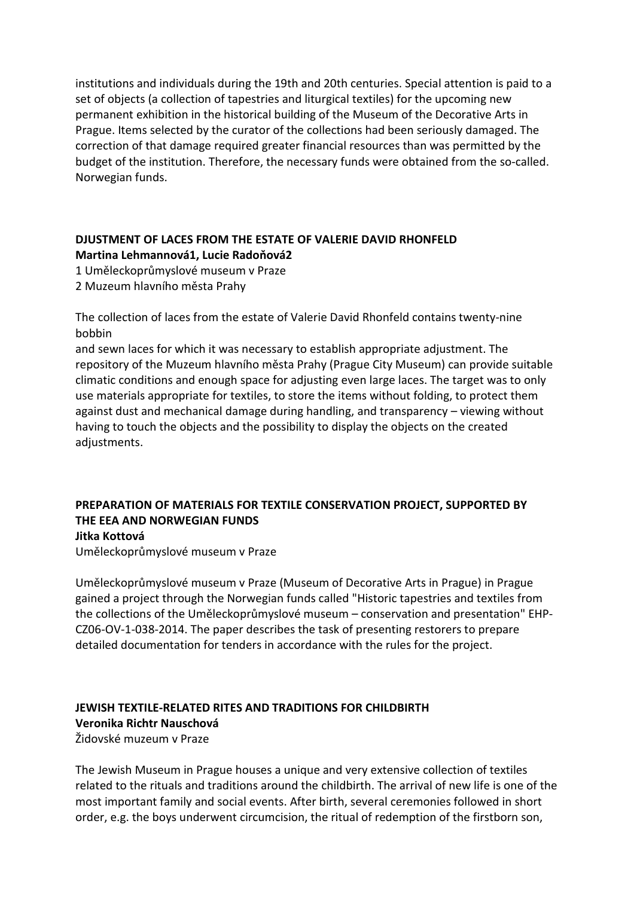institutions and individuals during the 19th and 20th centuries. Special attention is paid to a set of objects (a collection of tapestries and liturgical textiles) for the upcoming new permanent exhibition in the historical building of the Museum of the Decorative Arts in Prague. Items selected by the curator of the collections had been seriously damaged. The correction of that damage required greater financial resources than was permitted by the budget of the institution. Therefore, the necessary funds were obtained from the so-called. Norwegian funds.

## DJUSTMENT OF LACES FROM THE ESTATE OF VALERIE DAVID RHONFELD Martina Lehmannová1, Lucie Radoňová2

1 Uměleckoprůmyslové museum v Praze

2 Muzeum hlavního města Prahy

The collection of laces from the estate of Valerie David Rhonfeld contains twenty-nine bobbin

and sewn laces for which it was necessary to establish appropriate adjustment. The repository of the Muzeum hlavního města Prahy (Prague City Museum) can provide suitable climatic conditions and enough space for adjusting even large laces. The target was to only use materials appropriate for textiles, to store the items without folding, to protect them against dust and mechanical damage during handling, and transparency – viewing without having to touch the objects and the possibility to display the objects on the created adjustments.

#### PREPARATION OF MATERIALS FOR TEXTILE CONSERVATION PROJECT, SUPPORTED BY THE EEA AND NORWEGIAN FUNDS Jitka Kottová

Uměleckoprůmyslové museum v Praze

Uměleckoprůmyslové museum v Praze (Museum of Decorative Arts in Prague) in Prague gained a project through the Norwegian funds called "Historic tapestries and textiles from the collections of the Uměleckoprůmyslové museum – conservation and presentation" EHP-CZ06-OV-1-038-2014. The paper describes the task of presenting restorers to prepare detailed documentation for tenders in accordance with the rules for the project.

# JEWISH TEXTILE-RELATED RITES AND TRADITIONS FOR CHILDBIRTH Veronika Richtr Nauschová

Židovské muzeum v Praze

The Jewish Museum in Prague houses a unique and very extensive collection of textiles related to the rituals and traditions around the childbirth. The arrival of new life is one of the most important family and social events. After birth, several ceremonies followed in short order, e.g. the boys underwent circumcision, the ritual of redemption of the firstborn son,